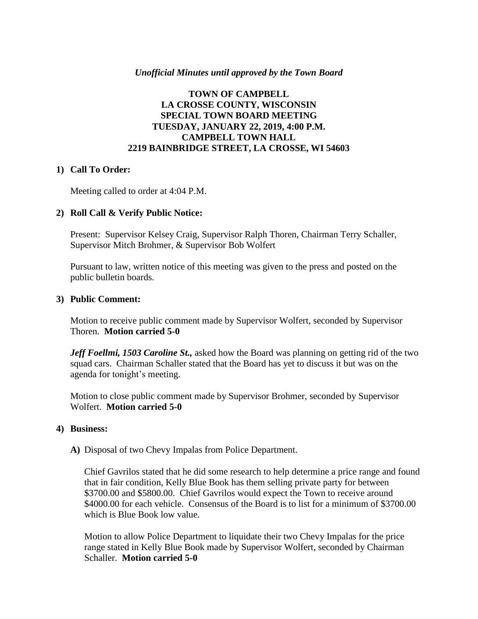### *Unofficial Minutes until approved by the Town Board*

# **TOWN OF CAMPBELL LA CROSSE COUNTY, WISCONSIN SPECIAL TOWN BOARD MEETING TUESDAY, JANUARY 22, 2019, 4:00 P.M. CAMPBELL TOWN HALL 2219 BAINBRIDGE STREET, LA CROSSE, WI 54603**

### **1) Call To Order:**

Meeting called to order at 4:04 P.M.

### **2) Roll Call & Verify Public Notice:**

Present: Supervisor Kelsey Craig, Supervisor Ralph Thoren, Chairman Terry Schaller, Supervisor Mitch Brohmer, & Supervisor Bob Wolfert

Pursuant to law, written notice of this meeting was given to the press and posted on the public bulletin boards.

#### **3) Public Comment:**

Motion to receive public comment made by Supervisor Wolfert, seconded by Supervisor Thoren. **Motion carried 5-0**

*Jeff Foellmi, 1503 Caroline St.,* asked how the Board was planning on getting rid of the two squad cars. Chairman Schaller stated that the Board has yet to discuss it but was on the agenda for tonight's meeting.

Motion to close public comment made by Supervisor Brohmer, seconded by Supervisor Wolfert. **Motion carried 5-0**

#### **4) Business:**

**A)** Disposal of two Chevy Impalas from Police Department.

Chief Gavrilos stated that he did some research to help determine a price range and found that in fair condition, Kelly Blue Book has them selling private party for between \$3700.00 and \$5800.00. Chief Gavrilos would expect the Town to receive around \$4000.00 for each vehicle. Consensus of the Board is to list for a minimum of \$3700.00 which is Blue Book low value.

Motion to allow Police Department to liquidate their two Chevy Impalas for the price range stated in Kelly Blue Book made by Supervisor Wolfert, seconded by Chairman Schaller. **Motion carried 5-0**